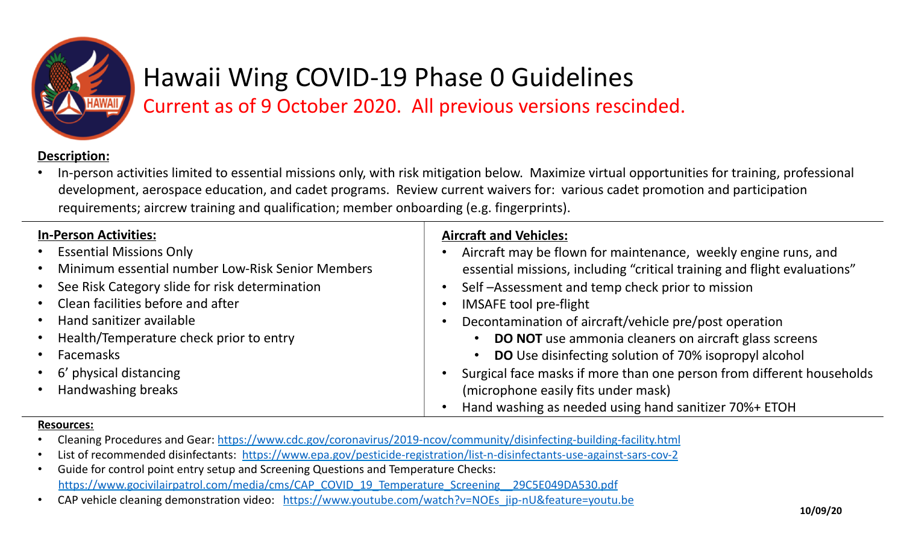

## Hawaii Wing COVID-19 Phase 0 Guidelines Current as of 9 October 2020. All previous versions rescinded.

### Description:

In-person activities limited to essential missions only, with risk mitigation below. Maximize virtual opportunities for training, professional development, aerospace education, and cadet programs. Review current waivers for: various cadet promotion and participation requirements; aircrew training and qualification; member onboarding (e.g. fingerprints).

| <b>In-Person Activities:</b>                                  | <b>Aircraft and Vehicles:</b>                                            |
|---------------------------------------------------------------|--------------------------------------------------------------------------|
| <b>Essential Missions Only</b><br>$\bullet$                   | Aircraft may be flown for maintenance, weekly engine runs, and           |
| Minimum essential number Low-Risk Senior Members<br>$\bullet$ | essential missions, including "critical training and flight evaluations" |
| • See Risk Category slide for risk determination              | Self-Assessment and temp check prior to mission                          |
| • Clean facilities before and after                           | <b>IMSAFE tool pre-flight</b>                                            |
| <b>Hand sanitizer available</b><br>$\bullet$                  | Decontamination of aircraft/vehicle pre/post operation                   |
| • Health/Temperature check prior to entry                     | <b>DO NOT</b> use ammonia cleaners on aircraft glass screens             |
| <b>Facemasks</b><br>$\bullet$                                 | DO Use disinfecting solution of 70% isopropyl alcohol                    |
| • 6' physical distancing                                      | Surgical face masks if more than one person from different households    |
| • Handwashing breaks                                          | (microphone easily fits under mask)                                      |
|                                                               | Hand washing as needed using hand sanitizer 70%+ ETOH                    |

#### **Resources:**

- Cleaning Procedures and Gear: https://www.cdc.gov/coronavirus/2019-ncov/community/disinfecting-building-facility.html
- List of recommended disinfectants: https://www.epa.gov/pesticide-registration/list-n-disinfectants-use-against-sars-cov-2
- Guide for control point entry setup and Screening Questions and Temperature Checks: https://www.gocivilairpatrol.com/media/cms/CAP\_COVID\_19\_Temperature\_Screening\_\_29C5E049DA530.pdf
- CAP vehicle cleaning demonstration video: https://www.youtube.com/watch?v=NOEs\_jip-nU&feature=youtu.be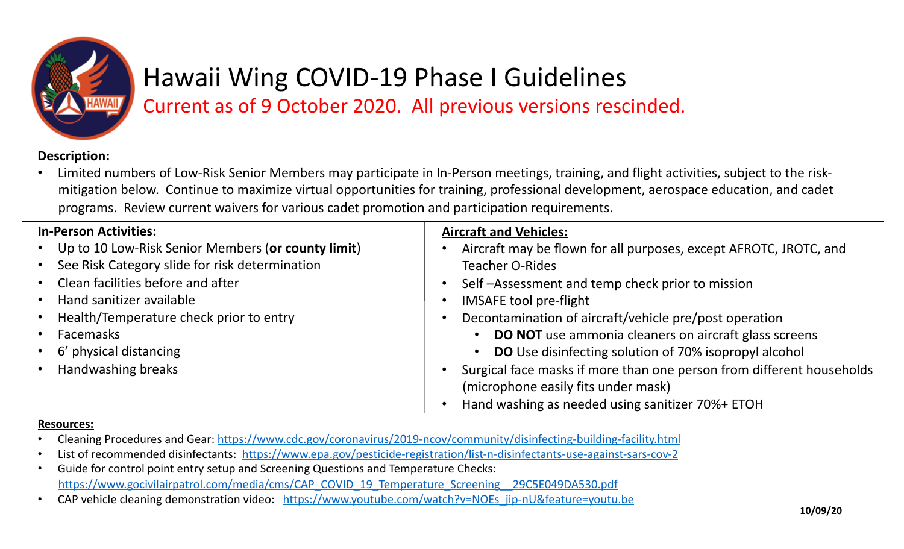

# Hawaii Wing COVID-19 Phase I Guidelines

Current as of 9 October 2020. All previous versions rescinded.

### Description:

Limited numbers of Low-Risk Senior Members may participate in In-Person meetings, training, and flight activities, subject to the riskmitigation below. Continue to maximize virtual opportunities for training, professional development, aerospace education, and cadet programs. Review current waivers for various cadet promotion and participation requirements.

| <b>In-Person Activities:</b>                                | <b>Aircraft and Vehicles:</b>                                                      |
|-------------------------------------------------------------|------------------------------------------------------------------------------------|
| • Up to 10 Low-Risk Senior Members (or county limit)        | Aircraft may be flown for all purposes, except AFROTC, JROTC, and                  |
| See Risk Category slide for risk determination<br>$\bullet$ | <b>Teacher O-Rides</b>                                                             |
| • Clean facilities before and after                         | Self-Assessment and temp check prior to mission<br>$\bullet$                       |
| Hand sanitizer available<br>$\bullet$                       | IMSAFE tool pre-flight                                                             |
| Health/Temperature check prior to entry<br>$\bullet$        | Decontamination of aircraft/vehicle pre/post operation                             |
| Facemasks<br>$\bullet$                                      | <b>DO NOT</b> use ammonia cleaners on aircraft glass screens                       |
| • 6' physical distancing                                    | <b>DO</b> Use disinfecting solution of 70% isopropyl alcohol                       |
| <b>Handwashing breaks</b><br>$\bullet$                      | Surgical face masks if more than one person from different households<br>$\bullet$ |
|                                                             | (microphone easily fits under mask)                                                |
|                                                             | Hand washing as needed using sanitizer 70%+ ETOH                                   |

#### **Resources:**

- Cleaning Procedures and Gear: https://www.cdc.gov/coronavirus/2019-ncov/community/disinfecting-building-facility.html
- List of recommended disinfectants: https://www.epa.gov/pesticide-registration/list-n-disinfectants-use-against-sars-cov-2
- Guide for control point entry setup and Screening Questions and Temperature Checks: https://www.gocivilairpatrol.com/media/cms/CAP\_COVID\_19\_Temperature\_Screening\_\_29C5E049DA530.pdf
- CAP vehicle cleaning demonstration video: https://www.youtube.com/watch?v=NOEs\_jip-nU&feature=youtu.be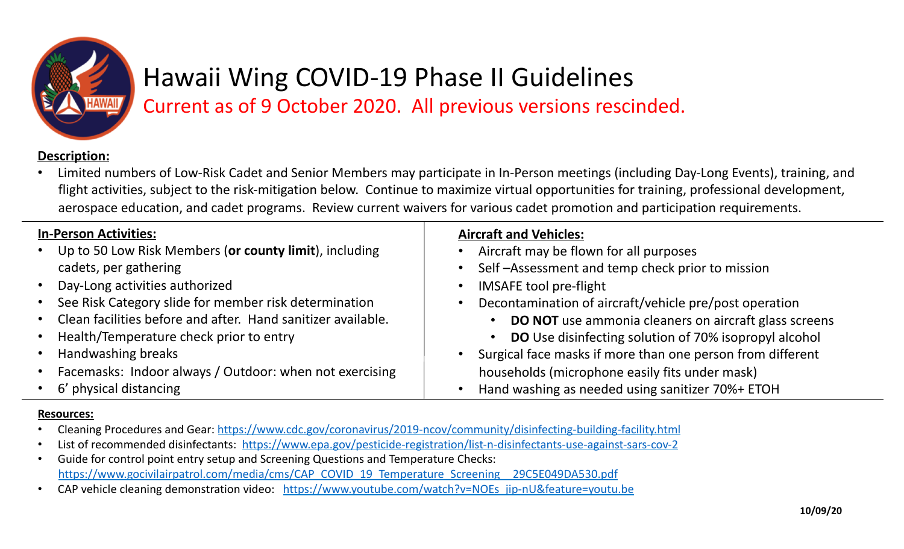

# Hawaii Wing COVID-19 Phase II Guidelines

Current as of 9 October 2020. All previous versions rescinded.

### Description:

Limited numbers of Low-Risk Cadet and Senior Members may participate in In-Person meetings (including Day-Long Events), training, and flight activities, subject to the risk-mitigation below. Continue to maximize virtual opportunities for training, professional development, aerospace education, and cadet programs. Review current waivers for various cadet promotion and participation requirements.

| <b>In-Person Activities:</b>                                         | <b>Aircraft and Vehicles:</b>                                |
|----------------------------------------------------------------------|--------------------------------------------------------------|
| Up to 50 Low Risk Members (or county limit), including<br>$\bullet$  | Aircraft may be flown for all purposes                       |
| cadets, per gathering                                                | Self-Assessment and temp check prior to mission              |
| • Day-Long activities authorized                                     | <b>IMSAFE tool pre-flight</b>                                |
| • See Risk Category slide for member risk determination              | Decontamination of aircraft/vehicle pre/post operation       |
| • Clean facilities before and after. Hand sanitizer available.       | <b>DO NOT</b> use ammonia cleaners on aircraft glass screens |
| Health/Temperature check prior to entry<br>$\bullet$                 | <b>DO</b> Use disinfecting solution of 70% isopropyl alcohol |
| Handwashing breaks<br>$\bullet$                                      | Surgical face masks if more than one person from different   |
| Facemasks: Indoor always / Outdoor: when not exercising<br>$\bullet$ | households (microphone easily fits under mask)               |
| • 6' physical distancing                                             | Hand washing as needed using sanitizer 70%+ ETOH             |

### **Resources:**

- Cleaning Procedures and Gear: https://www.cdc.gov/coronavirus/2019-ncov/community/disinfecting-building-facility.html
- List of recommended disinfectants: https://www.epa.gov/pesticide-registration/list-n-disinfectants-use-against-sars-cov-2
- Guide for control point entry setup and Screening Questions and Temperature Checks: https://www.gocivilairpatrol.com/media/cms/CAP\_COVID\_19\_Temperature\_Screening\_\_29C5E049DA530.pdf
- CAP vehicle cleaning demonstration video: https://www.youtube.com/watch?v=NOEs\_jip-nU&feature=youtu.be